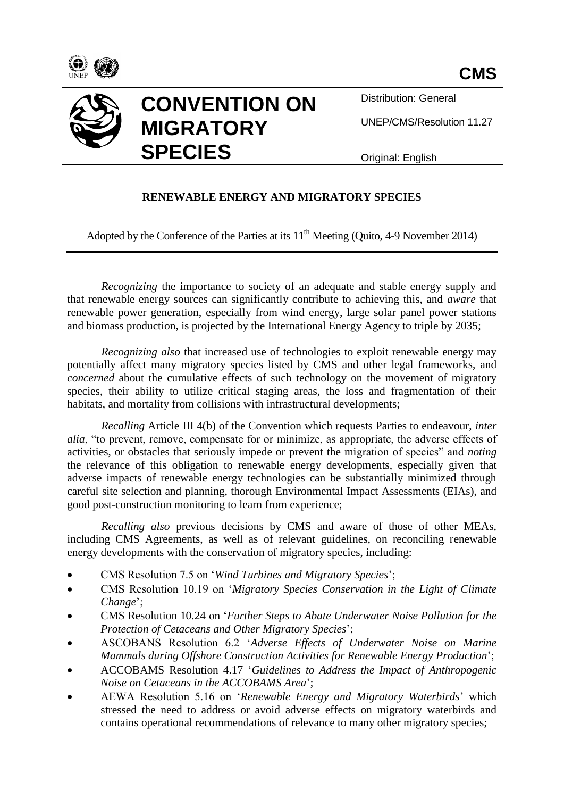



Distribution: General

UNEP/CMS/Resolution 11.27

Original: English

# **RENEWABLE ENERGY AND MIGRATORY SPECIES**

Adopted by the Conference of the Parties at its  $11<sup>th</sup>$  Meeting (Quito, 4-9 November 2014)

*Recognizing* the importance to society of an adequate and stable energy supply and that renewable energy sources can significantly contribute to achieving this, and *aware* that renewable power generation, especially from wind energy, large solar panel power stations and biomass production, is projected by the International Energy Agency to triple by 2035;

*Recognizing also* that increased use of technologies to exploit renewable energy may potentially affect many migratory species listed by CMS and other legal frameworks, and *concerned* about the cumulative effects of such technology on the movement of migratory species, their ability to utilize critical staging areas, the loss and fragmentation of their habitats, and mortality from collisions with infrastructural developments;

*Recalling* Article III 4(b) of the Convention which requests Parties to endeavour, *inter alia*, "to prevent, remove, compensate for or minimize, as appropriate, the adverse effects of activities, or obstacles that seriously impede or prevent the migration of species" and *noting* the relevance of this obligation to renewable energy developments, especially given that adverse impacts of renewable energy technologies can be substantially minimized through careful site selection and planning, thorough Environmental Impact Assessments (EIAs), and good post-construction monitoring to learn from experience;

*Recalling also* previous decisions by CMS and aware of those of other MEAs, including CMS Agreements, as well as of relevant guidelines, on reconciling renewable energy developments with the conservation of migratory species, including:

- CMS Resolution 7.5 on '*Wind Turbines and Migratory Species*';
- CMS Resolution 10.19 on '*Migratory Species Conservation in the Light of Climate Change*';
- CMS Resolution 10.24 on '*Further Steps to Abate Underwater Noise Pollution for the Protection of Cetaceans and Other Migratory Species*';
- ASCOBANS Resolution 6.2 '*Adverse Effects of Underwater Noise on Marine Mammals during Offshore Construction Activities for Renewable Energy Production*';
- ACCOBAMS Resolution 4.17 '*Guidelines to Address the Impact of Anthropogenic Noise on Cetaceans in the ACCOBAMS Area*';
- AEWA Resolution 5.16 on '*Renewable Energy and Migratory Waterbirds*' which stressed the need to address or avoid adverse effects on migratory waterbirds and contains operational recommendations of relevance to many other migratory species;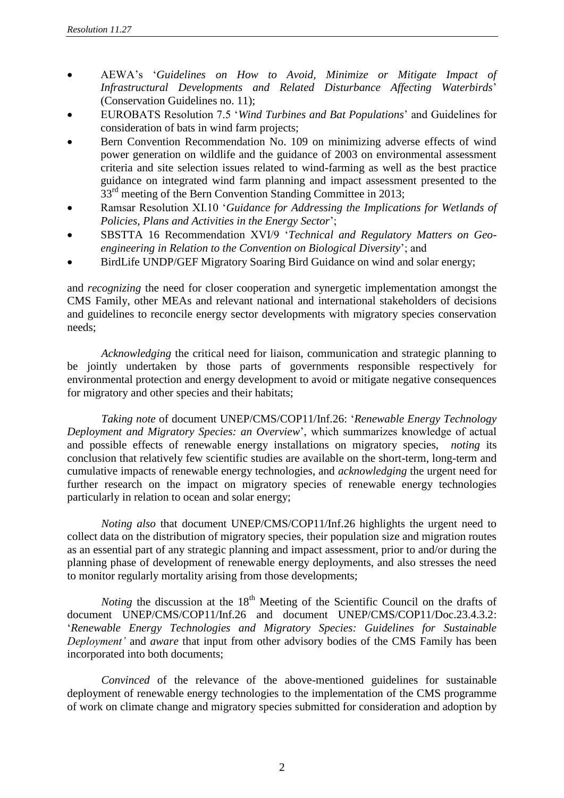- AEWA's '*Guidelines on How to Avoid, Minimize or Mitigate Impact of Infrastructural Developments and Related Disturbance Affecting Waterbirds*' (Conservation Guidelines no. 11);
- EUROBATS Resolution 7.5 '*Wind Turbines and Bat Populations*' and Guidelines for consideration of bats in wind farm projects;
- Bern Convention Recommendation No. 109 on minimizing adverse effects of wind power generation on wildlife and the guidance of 2003 on environmental assessment criteria and site selection issues related to wind-farming as well as the best practice guidance on integrated wind farm planning and impact assessment presented to the 33<sup>rd</sup> meeting of the Bern Convention Standing Committee in 2013;
- Ramsar Resolution XI.10 '*Guidance for Addressing the Implications for Wetlands of Policies, Plans and Activities in the Energy Sector*';
- SBSTTA 16 Recommendation XVI/9 '*Technical and Regulatory Matters on Geoengineering in Relation to the Convention on Biological Diversity*'; and
- BirdLife UNDP/GEF Migratory Soaring Bird Guidance on wind and solar energy;

and *recognizing* the need for closer cooperation and synergetic implementation amongst the CMS Family, other MEAs and relevant national and international stakeholders of decisions and guidelines to reconcile energy sector developments with migratory species conservation needs;

*Acknowledging* the critical need for liaison, communication and strategic planning to be jointly undertaken by those parts of governments responsible respectively for environmental protection and energy development to avoid or mitigate negative consequences for migratory and other species and their habitats;

*Taking note* of document UNEP/CMS/COP11/Inf.26: '*Renewable Energy Technology Deployment and Migratory Species: an Overview*', which summarizes knowledge of actual and possible effects of renewable energy installations on migratory species, *noting* its conclusion that relatively few scientific studies are available on the short-term, long-term and cumulative impacts of renewable energy technologies, and *acknowledging* the urgent need for further research on the impact on migratory species of renewable energy technologies particularly in relation to ocean and solar energy;

*Noting also* that document UNEP/CMS/COP11/Inf.26 highlights the urgent need to collect data on the distribution of migratory species, their population size and migration routes as an essential part of any strategic planning and impact assessment, prior to and/or during the planning phase of development of renewable energy deployments, and also stresses the need to monitor regularly mortality arising from those developments;

*Noting* the discussion at the 18<sup>th</sup> Meeting of the Scientific Council on the drafts of document UNEP/CMS/COP11/Inf.26 and document UNEP/CMS/COP11/Doc.23.4.3.2: '*Renewable Energy Technologies and Migratory Species: Guidelines for Sustainable Deployment'* and *aware* that input from other advisory bodies of the CMS Family has been incorporated into both documents;

*Convinced* of the relevance of the above-mentioned guidelines for sustainable deployment of renewable energy technologies to the implementation of the CMS programme of work on climate change and migratory species submitted for consideration and adoption by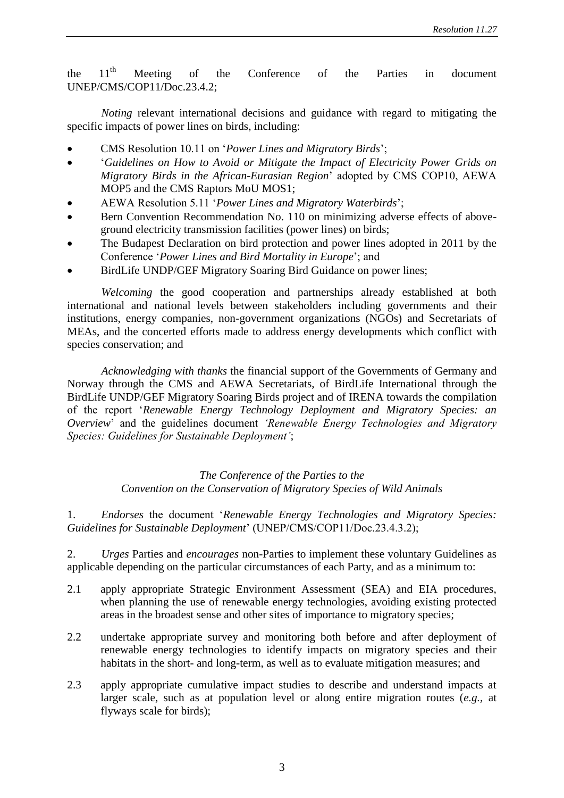the 11<sup>th</sup> Meeting of the Conference of the Parties in document UNEP/CMS/COP11/Doc.23.4.2;

*Noting* relevant international decisions and guidance with regard to mitigating the specific impacts of power lines on birds, including:

- CMS Resolution 10.11 on '*Power Lines and Migratory Birds*';
- '*Guidelines on How to Avoid or Mitigate the Impact of Electricity Power Grids on Migratory Birds in the African-Eurasian Region*' adopted by CMS COP10, AEWA MOP5 and the CMS Raptors MoU MOS1;
- AEWA Resolution 5.11 '*Power Lines and Migratory Waterbirds*';
- Bern Convention Recommendation No. 110 on minimizing adverse effects of aboveground electricity transmission facilities (power lines) on birds;
- The Budapest Declaration on bird protection and power lines adopted in 2011 by the Conference '*Power Lines and Bird Mortality in Europe*'; and
- BirdLife UNDP/GEF Migratory Soaring Bird Guidance on power lines;

*Welcoming* the good cooperation and partnerships already established at both international and national levels between stakeholders including governments and their institutions, energy companies, non-government organizations (NGOs) and Secretariats of MEAs, and the concerted efforts made to address energy developments which conflict with species conservation; and

*Acknowledging with thanks* the financial support of the Governments of Germany and Norway through the CMS and AEWA Secretariats, of BirdLife International through the BirdLife UNDP/GEF Migratory Soaring Birds project and of IRENA towards the compilation of the report '*Renewable Energy Technology Deployment and Migratory Species: an Overview*' and the guidelines document *'Renewable Energy Technologies and Migratory Species: Guidelines for Sustainable Deployment'*;

> *The Conference of the Parties to the Convention on the Conservation of Migratory Species of Wild Animals*

1. *Endorses* the document '*Renewable Energy Technologies and Migratory Species: Guidelines for Sustainable Deployment*' (UNEP/CMS/COP11/Doc.23.4.3.2);

2. *Urges* Parties and *encourages* non-Parties to implement these voluntary Guidelines as applicable depending on the particular circumstances of each Party, and as a minimum to:

- 2.1 apply appropriate Strategic Environment Assessment (SEA) and EIA procedures, when planning the use of renewable energy technologies, avoiding existing protected areas in the broadest sense and other sites of importance to migratory species;
- 2.2 undertake appropriate survey and monitoring both before and after deployment of renewable energy technologies to identify impacts on migratory species and their habitats in the short- and long-term, as well as to evaluate mitigation measures; and
- 2.3 apply appropriate cumulative impact studies to describe and understand impacts at larger scale, such as at population level or along entire migration routes (*e.g.,* at flyways scale for birds);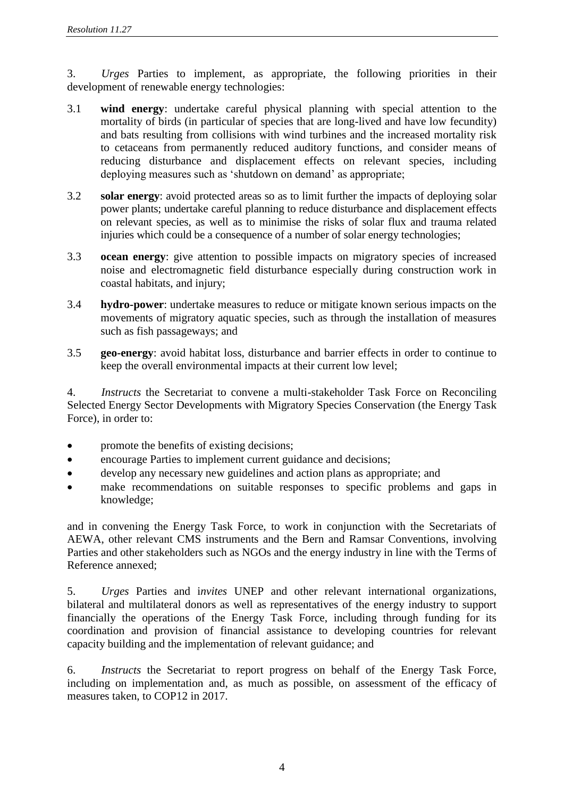3. *Urges* Parties to implement, as appropriate, the following priorities in their development of renewable energy technologies:

- 3.1 **wind energy**: undertake careful physical planning with special attention to the mortality of birds (in particular of species that are long-lived and have low fecundity) and bats resulting from collisions with wind turbines and the increased mortality risk to cetaceans from permanently reduced auditory functions, and consider means of reducing disturbance and displacement effects on relevant species, including deploying measures such as 'shutdown on demand' as appropriate;
- 3.2 **solar energy**: avoid protected areas so as to limit further the impacts of deploying solar power plants; undertake careful planning to reduce disturbance and displacement effects on relevant species, as well as to minimise the risks of solar flux and trauma related injuries which could be a consequence of a number of solar energy technologies;
- 3.3 **ocean energy**: give attention to possible impacts on migratory species of increased noise and electromagnetic field disturbance especially during construction work in coastal habitats, and injury;
- 3.4 **hydro-power**: undertake measures to reduce or mitigate known serious impacts on the movements of migratory aquatic species, such as through the installation of measures such as fish passageways; and
- 3.5 **geo-energy**: avoid habitat loss, disturbance and barrier effects in order to continue to keep the overall environmental impacts at their current low level;

4. *Instructs* the Secretariat to convene a multi-stakeholder Task Force on Reconciling Selected Energy Sector Developments with Migratory Species Conservation (the Energy Task Force), in order to:

- promote the benefits of existing decisions;
- encourage Parties to implement current guidance and decisions;
- develop any necessary new guidelines and action plans as appropriate; and
- make recommendations on suitable responses to specific problems and gaps in knowledge;

and in convening the Energy Task Force, to work in conjunction with the Secretariats of AEWA, other relevant CMS instruments and the Bern and Ramsar Conventions, involving Parties and other stakeholders such as NGOs and the energy industry in line with the Terms of Reference annexed;

5. *Urges* Parties and i*nvites* UNEP and other relevant international organizations, bilateral and multilateral donors as well as representatives of the energy industry to support financially the operations of the Energy Task Force, including through funding for its coordination and provision of financial assistance to developing countries for relevant capacity building and the implementation of relevant guidance; and

6. *Instructs* the Secretariat to report progress on behalf of the Energy Task Force, including on implementation and, as much as possible, on assessment of the efficacy of measures taken, to COP12 in 2017.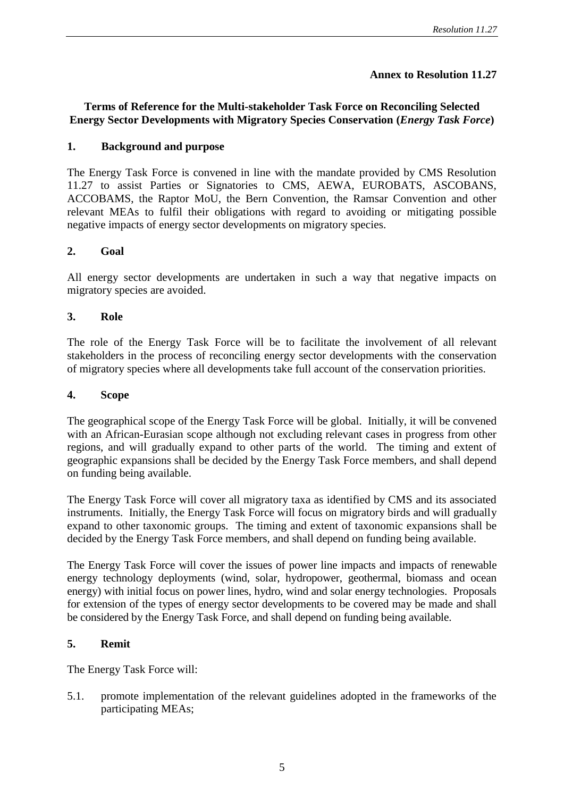## **Annex to Resolution 11.27**

# **Terms of Reference for the Multi-stakeholder Task Force on Reconciling Selected Energy Sector Developments with Migratory Species Conservation (***Energy Task Force***)**

## **1. Background and purpose**

The Energy Task Force is convened in line with the mandate provided by CMS Resolution 11.27 to assist Parties or Signatories to CMS, AEWA, EUROBATS, ASCOBANS, ACCOBAMS, the Raptor MoU, the Bern Convention, the Ramsar Convention and other relevant MEAs to fulfil their obligations with regard to avoiding or mitigating possible negative impacts of energy sector developments on migratory species.

## **2. Goal**

All energy sector developments are undertaken in such a way that negative impacts on migratory species are avoided.

## **3. Role**

The role of the Energy Task Force will be to facilitate the involvement of all relevant stakeholders in the process of reconciling energy sector developments with the conservation of migratory species where all developments take full account of the conservation priorities.

#### **4. Scope**

The geographical scope of the Energy Task Force will be global. Initially, it will be convened with an African-Eurasian scope although not excluding relevant cases in progress from other regions, and will gradually expand to other parts of the world. The timing and extent of geographic expansions shall be decided by the Energy Task Force members, and shall depend on funding being available.

The Energy Task Force will cover all migratory taxa as identified by CMS and its associated instruments. Initially, the Energy Task Force will focus on migratory birds and will gradually expand to other taxonomic groups. The timing and extent of taxonomic expansions shall be decided by the Energy Task Force members, and shall depend on funding being available.

The Energy Task Force will cover the issues of power line impacts and impacts of renewable energy technology deployments (wind, solar, hydropower, geothermal, biomass and ocean energy) with initial focus on power lines, hydro, wind and solar energy technologies. Proposals for extension of the types of energy sector developments to be covered may be made and shall be considered by the Energy Task Force, and shall depend on funding being available.

## **5. Remit**

The Energy Task Force will:

5.1. promote implementation of the relevant guidelines adopted in the frameworks of the participating MEAs;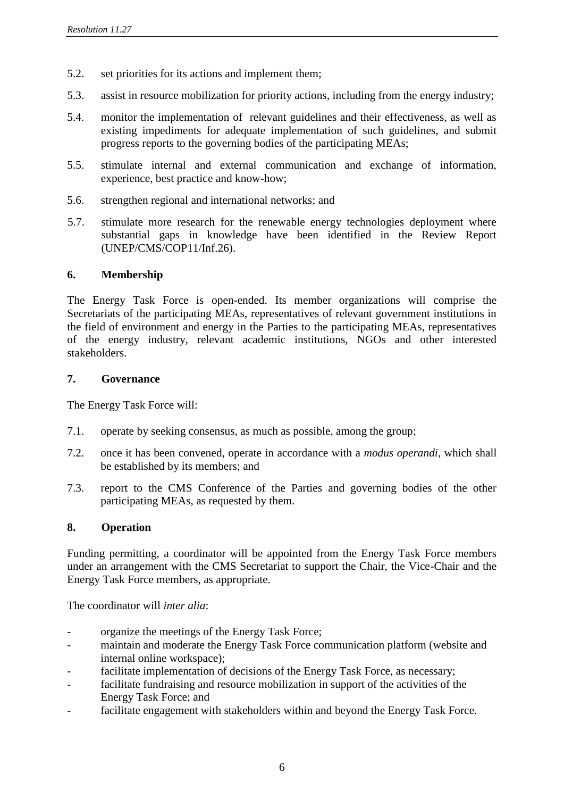- 5.2. set priorities for its actions and implement them;
- 5.3. assist in resource mobilization for priority actions, including from the energy industry;
- 5.4. monitor the implementation of relevant guidelines and their effectiveness, as well as existing impediments for adequate implementation of such guidelines, and submit progress reports to the governing bodies of the participating MEAs;
- 5.5. stimulate internal and external communication and exchange of information, experience, best practice and know-how;
- 5.6. strengthen regional and international networks; and
- 5.7. stimulate more research for the renewable energy technologies deployment where substantial gaps in knowledge have been identified in the Review Report (UNEP/CMS/COP11/Inf.26).

## **6. Membership**

The Energy Task Force is open-ended. Its member organizations will comprise the Secretariats of the participating MEAs, representatives of relevant government institutions in the field of environment and energy in the Parties to the participating MEAs, representatives of the energy industry, relevant academic institutions, NGOs and other interested stakeholders.

## **7. Governance**

The Energy Task Force will:

- 7.1. operate by seeking consensus, as much as possible, among the group;
- 7.2. once it has been convened, operate in accordance with a *modus operandi*, which shall be established by its members; and
- 7.3. report to the CMS Conference of the Parties and governing bodies of the other participating MEAs, as requested by them.

## **8. Operation**

Funding permitting, a coordinator will be appointed from the Energy Task Force members under an arrangement with the CMS Secretariat to support the Chair, the Vice-Chair and the Energy Task Force members, as appropriate.

The coordinator will *inter alia*:

- organize the meetings of the Energy Task Force;
- maintain and moderate the Energy Task Force communication platform (website and internal online workspace);
- facilitate implementation of decisions of the Energy Task Force, as necessary;
- facilitate fundraising and resource mobilization in support of the activities of the Energy Task Force; and
- facilitate engagement with stakeholders within and beyond the Energy Task Force.